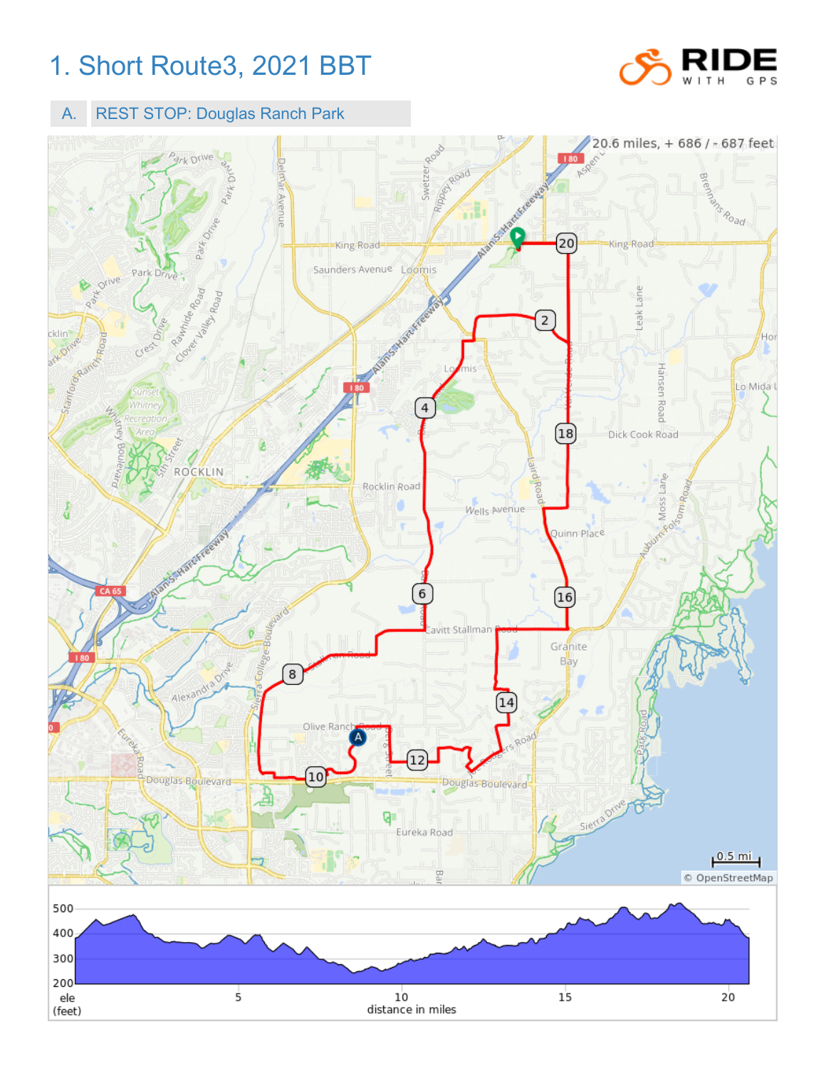## 1. Short Route3, 2021 BBT